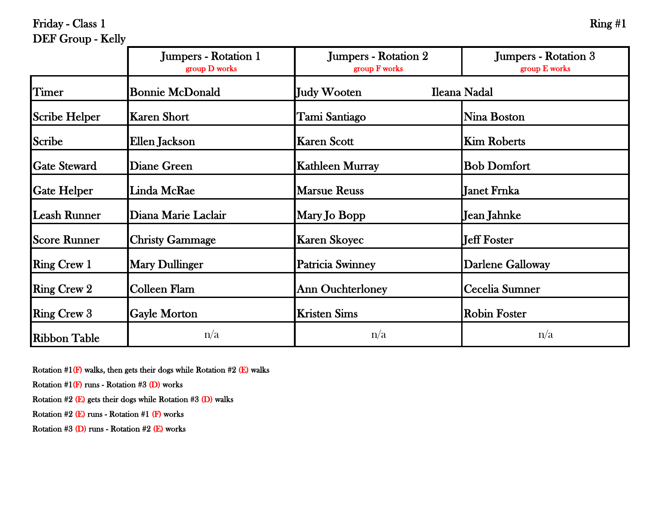Friday - Class 1

| <b>DEF</b> Group - Kelly |                                                 |                                       |                                       |
|--------------------------|-------------------------------------------------|---------------------------------------|---------------------------------------|
|                          | <b>Jumpers - Rotation 1</b><br>$group\ D$ works | Jumpers - Rotation 2<br>group F works | Jumpers - Rotation 3<br>group E works |
| Timer                    | <b>Bonnie McDonald</b>                          | Judy Wooten                           | Ileana Nadal                          |
| <b>Scribe Helper</b>     | Karen Short                                     | Tami Santiago                         | Nina Boston                           |
| <b>Scribe</b>            | Ellen Jackson                                   | <b>Karen Scott</b>                    | <b>Kim Roberts</b>                    |
| <b>Gate Steward</b>      | Diane Green                                     | <b>Kathleen Murray</b>                | <b>Bob Domfort</b>                    |
|                          |                                                 |                                       |                                       |

**Gate Helper** Linda McRae Marsue Reuss Janet Frnka

Leash Runner | Diana Marie Laclair | Mary Jo Bopp | Jean Jahnke

Score Runner Christy Gammage Karen Skoyec Jeff Foster

Ring Crew 1 Mary Dullinger Patricia Swinney Darlene Galloway

Ring Crew 2 Colleen Flam Ann Ouchterloney Cecelia Sumner

**Ribbon Table**  $n/a$  n/a  $n/a$  n/a  $n/a$ 

Ring Crew 3 Gayle Morton Kristen Sims Robin Foster

| am<br>עו |  |
|----------|--|
|----------|--|

Rotation  $#1(F)$  walks, then gets their dogs while Rotation  $#2(E)$  walks

Rotation  $#1(F)$  runs - Rotation  $#3(D)$  works

Rotation #2 (E) gets their dogs while Rotation #3 (D) walks

Rotation  $#2$  (E) runs - Rotation  $#1$  (F) works

Rotation #3 (D) runs - Rotation #2 (E) works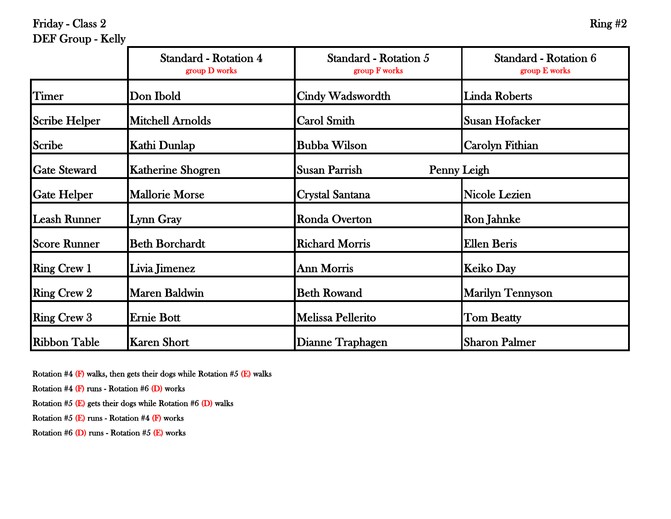Friday - Class 2 Ring  $#2$ 

## DEF Group - Kelly

|                      | Standard - Rotation 4<br>group D works | Standard - Rotation 5<br>group F works | Standard - Rotation 6<br>group E works |
|----------------------|----------------------------------------|----------------------------------------|----------------------------------------|
| Timer                | Don Ibold                              | Cindy Wadswordth                       | <b>Linda Roberts</b>                   |
| <b>Scribe Helper</b> | <b>Mitchell Arnolds</b>                | <b>Carol Smith</b>                     | Susan Hofacker                         |
| Scribe               | Kathi Dunlap                           | <b>Bubba Wilson</b>                    | Carolyn Fithian                        |
| <b>Gate Steward</b>  | <b>Katherine Shogren</b>               | Susan Parrish<br>Penny Leigh           |                                        |
| <b>Gate Helper</b>   | <b>Mallorie Morse</b>                  | <b>Crystal Santana</b>                 | Nicole Lezien                          |
| <b>Leash Runner</b>  | Lynn Gray                              | <b>Ronda Overton</b>                   | Ron Jahnke                             |
| <b>Score Runner</b>  | <b>Beth Borchardt</b>                  | <b>Richard Morris</b>                  | <b>Ellen Beris</b>                     |
| <b>Ring Crew 1</b>   | Livia Jimenez                          | <b>Ann Morris</b>                      | <b>Keiko Day</b>                       |
| <b>Ring Crew 2</b>   | <b>Maren Baldwin</b>                   | <b>Beth Rowand</b>                     | <b>Marilyn Tennyson</b>                |
| <b>Ring Crew 3</b>   | Ernie Bott                             | <b>Melissa Pellerito</b>               | <b>Tom Beatty</b>                      |
| <b>Ribbon Table</b>  | Karen Short                            | Dianne Traphagen                       | <b>Sharon Palmer</b>                   |

Rotation #4 (F) walks, then gets their dogs while Rotation #5 (E) walks

Rotation  $#4$  (F) runs - Rotation  $#6$  (D) works

Rotation #5 (E) gets their dogs while Rotation #6 (D) walks

Rotation  $#5$  (E) runs - Rotation  $#4$  (F) works

Rotation #6 (D) runs - Rotation #5 (E) works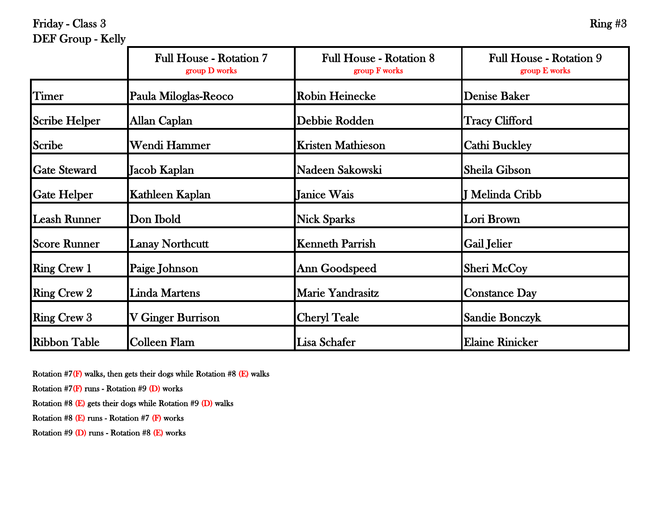Friday - Class 3 Ring  $#3$ 

# DEF Group - Kelly

|                      | <b>Full House - Rotation 7</b><br>group D works | <b>Full House - Rotation 8</b><br>group F works | <b>Full House - Rotation 9</b><br>group E works |
|----------------------|-------------------------------------------------|-------------------------------------------------|-------------------------------------------------|
| Timer                | Paula Miloglas-Reoco                            | <b>Robin Heinecke</b>                           | <b>Denise Baker</b>                             |
| <b>Scribe Helper</b> | Allan Caplan                                    | Debbie Rodden                                   | <b>Tracy Clifford</b>                           |
| Scribe               | Wendi Hammer                                    | <b>Kristen Mathieson</b>                        | <b>Cathi Buckley</b>                            |
| <b>Gate Steward</b>  | Jacob Kaplan                                    | Nadeen Sakowski                                 | Sheila Gibson                                   |
| <b>Gate Helper</b>   | Kathleen Kaplan                                 | Janice Wais                                     | J Melinda Cribb                                 |
| <b>Leash Runner</b>  | Don Ibold                                       | <b>Nick Sparks</b>                              | Lori Brown                                      |
| <b>Score Runner</b>  | <b>Lanay Northcutt</b>                          | <b>Kenneth Parrish</b>                          | Gail Jelier                                     |
| <b>Ring Crew 1</b>   | Paige Johnson                                   | <b>Ann Goodspeed</b>                            | Sheri McCoy                                     |
| <b>Ring Crew 2</b>   | <b>Linda Martens</b>                            | <b>Marie Yandrasitz</b>                         | <b>Constance Day</b>                            |
| <b>Ring Crew 3</b>   | V Ginger Burrison                               | <b>Cheryl Teale</b>                             | <b>Sandie Bonczyk</b>                           |
| <b>Ribbon Table</b>  | Colleen Flam                                    | Lisa Schafer                                    | <b>Elaine Rinicker</b>                          |

Rotation  $#7(F)$  walks, then gets their dogs while Rotation  $#8(E)$  walks

Rotation  $#7(F)$  runs - Rotation  $#9(D)$  works

Rotation #8 (E) gets their dogs while Rotation #9 (D) walks

Rotation #8 (E) runs - Rotation #7 (F) works

Rotation #9 (D) runs - Rotation #8 (E) works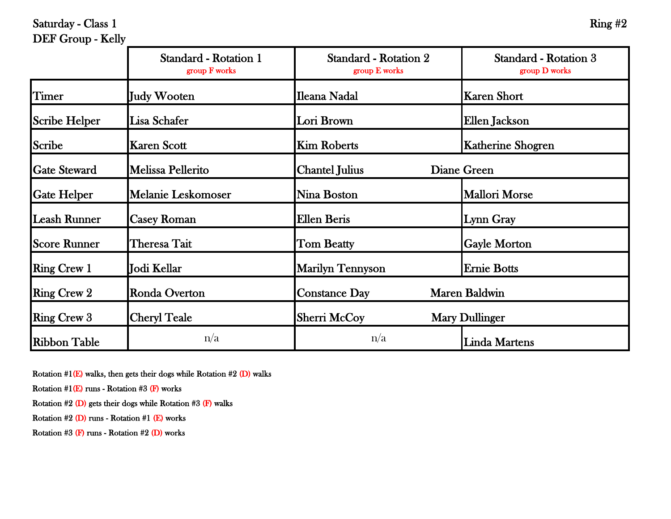Saturday - Class 1 Ring  $#2$ 

## DEF Group - Kelly

|                      | Standard - Rotation 1<br>group F works | <b>Standard - Rotation 2</b><br>group E works | Standard - Rotation 3<br>group D works |
|----------------------|----------------------------------------|-----------------------------------------------|----------------------------------------|
| Timer                | Judy Wooten                            | Ileana Nadal                                  | <b>Karen Short</b>                     |
| <b>Scribe Helper</b> | Lisa Schafer                           | Lori Brown                                    | Ellen Jackson                          |
| <b>Scribe</b>        | <b>Karen Scott</b>                     | <b>Kim Roberts</b>                            | <b>Katherine Shogren</b>               |
| <b>Gate Steward</b>  | Melissa Pellerito                      | <b>Chantel Julius</b><br>Diane Green          |                                        |
| <b>Gate Helper</b>   | <b>Melanie Leskomoser</b>              | Nina Boston                                   | <b>Mallori Morse</b>                   |
| <b>Leash Runner</b>  | <b>Casey Roman</b>                     | Ellen Beris                                   | Lynn Gray                              |
| <b>Score Runner</b>  | Theresa Tait                           | <b>Tom Beatty</b>                             | <b>Gayle Morton</b>                    |
| <b>Ring Crew 1</b>   | Jodi Kellar                            | <b>Marilyn Tennyson</b>                       | <b>Ernie Botts</b>                     |
| <b>Ring Crew 2</b>   | <b>Ronda Overton</b>                   | <b>Constance Day</b>                          | <b>Maren Baldwin</b>                   |
| <b>Ring Crew 3</b>   | <b>Cheryl Teale</b>                    | <b>Sherri McCoy</b>                           | <b>Mary Dullinger</b>                  |
| <b>Ribbon Table</b>  | n/a                                    | n/a                                           | <b>Linda Martens</b>                   |

Rotation  $#1(E)$  walks, then gets their dogs while Rotation  $#2(D)$  walks

Rotation  $#1(E)$  runs - Rotation  $#3(F)$  works

Rotation  $#2$  (D) gets their dogs while Rotation  $#3$  (F) walks

Rotation #2 (D) runs - Rotation #1 (E) works

Rotation #3 (F) runs - Rotation #2 (D) works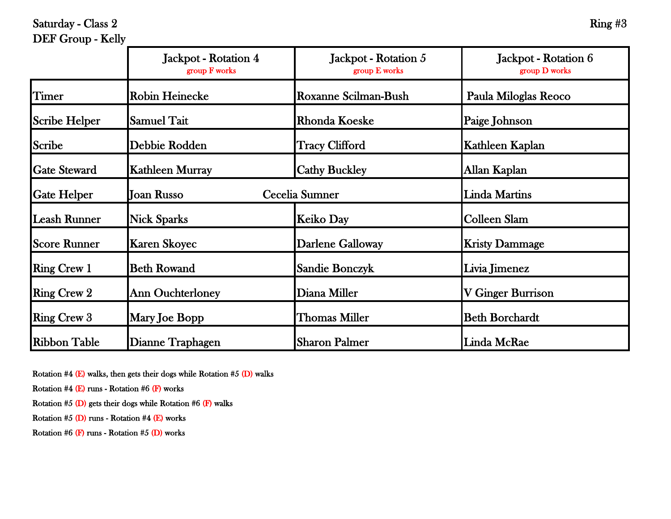Saturday - Class 2 Ring  $\#3$ 

## DEF Group - Kelly

|                      | Jackpot - Rotation 4<br>group F works | Jackpot - Rotation 5<br>group E works | Jackpot - Rotation 6<br>group D works |
|----------------------|---------------------------------------|---------------------------------------|---------------------------------------|
| <b>Timer</b>         | <b>Robin Heinecke</b>                 | <b>Roxanne Scilman-Bush</b>           | Paula Miloglas Reoco                  |
| <b>Scribe Helper</b> | <b>Samuel Tait</b>                    | <b>Rhonda Koeske</b>                  | Paige Johnson                         |
| <b>Scribe</b>        | Debbie Rodden                         | <b>Tracy Clifford</b>                 | Kathleen Kaplan                       |
| <b>Gate Steward</b>  | <b>Kathleen Murray</b>                | <b>Cathy Buckley</b>                  | Allan Kaplan                          |
| <b>Gate Helper</b>   | Cecelia Sumner<br><b>Joan Russo</b>   |                                       | <b>Linda Martins</b>                  |
| <b>Leash Runner</b>  | <b>Nick Sparks</b>                    | Keiko Day                             | <b>Colleen Slam</b>                   |
| <b>Score Runner</b>  | <b>Karen Skoyec</b>                   | <b>Darlene Galloway</b>               | <b>Kristy Dammage</b>                 |
| <b>Ring Crew 1</b>   | <b>Beth Rowand</b>                    | <b>Sandie Bonczyk</b>                 | Livia Jimenez                         |
| <b>Ring Crew 2</b>   | <b>Ann Ouchterloney</b>               | Diana Miller                          | V Ginger Burrison                     |
| <b>Ring Crew 3</b>   | Mary Joe Bopp                         | Thomas Miller                         | <b>Beth Borchardt</b>                 |
| <b>Ribbon Table</b>  | Dianne Traphagen                      | <b>Sharon Palmer</b>                  | Linda McRae                           |

Rotation #4 (E) walks, then gets their dogs while Rotation #5 (D) walks

Rotation  $#4$  (E) runs - Rotation  $#6$  (F) works

Rotation  $#5$  (D) gets their dogs while Rotation  $#6$  (F) walks

Rotation #5 (D) runs - Rotation #4 (E) works

Rotation #6 (F) runs - Rotation #5 (D) works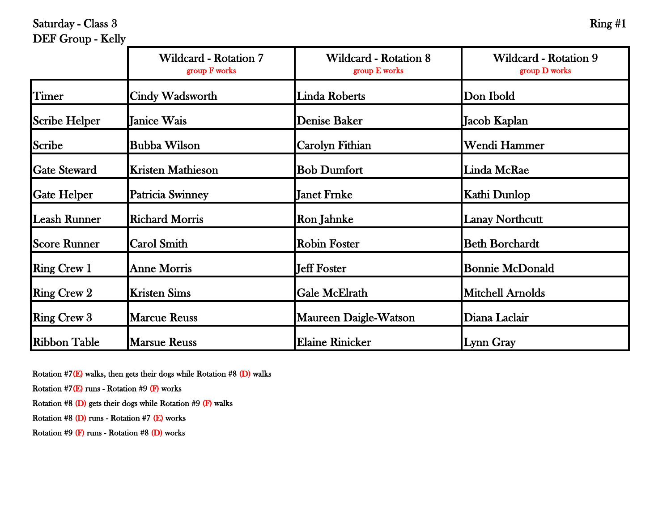Saturday - Class  $3 \overline{\hspace{1cm}}$  Ring  $\#1$ 

## DEF Group - Kelly

|                      | <b>Wildcard - Rotation 7</b><br>group F works | <b>Wildcard - Rotation 8</b><br>group E works | Wildcard - Rotation 9<br>group D works |
|----------------------|-----------------------------------------------|-----------------------------------------------|----------------------------------------|
| Timer                | <b>Cindy Wadsworth</b>                        | <b>Linda Roberts</b>                          | Don Ibold                              |
| <b>Scribe Helper</b> | <b>Janice Wais</b>                            | <b>Denise Baker</b>                           | Jacob Kaplan                           |
| <b>Scribe</b>        | <b>Bubba Wilson</b>                           | <b>Carolyn Fithian</b>                        | Wendi Hammer                           |
| <b>Gate Steward</b>  | <b>Kristen Mathieson</b>                      | <b>Bob Dumfort</b>                            | Linda McRae                            |
| <b>Gate Helper</b>   | <b>Patricia Swinney</b>                       | Janet Frnke                                   | Kathi Dunlop                           |
| <b>Leash Runner</b>  | <b>Richard Morris</b>                         | <b>Ron Jahnke</b>                             | <b>Lanay Northcutt</b>                 |
| <b>Score Runner</b>  | <b>Carol Smith</b>                            | <b>Robin Foster</b>                           | <b>Beth Borchardt</b>                  |
| <b>Ring Crew 1</b>   | <b>Anne Morris</b>                            | <b>Jeff Foster</b>                            | <b>Bonnie McDonald</b>                 |
| <b>Ring Crew 2</b>   | <b>Kristen Sims</b>                           | <b>Gale McElrath</b>                          | <b>Mitchell Arnolds</b>                |
| <b>Ring Crew 3</b>   | <b>Marcue Reuss</b>                           | <b>Maureen Daigle-Watson</b>                  | Diana Laclair                          |
| <b>Ribbon Table</b>  | <b>Marsue Reuss</b>                           | <b>Elaine Rinicker</b>                        | Lynn Gray                              |

Rotation #7(E) walks, then gets their dogs while Rotation #8 (D) walks

Rotation  $#7(E)$  runs - Rotation  $#9(F)$  works

Rotation #8 (D) gets their dogs while Rotation #9 (F) walks

Rotation #8 (D) runs - Rotation #7 (E) works

Rotation #9 (F) runs - Rotation #8 (D) works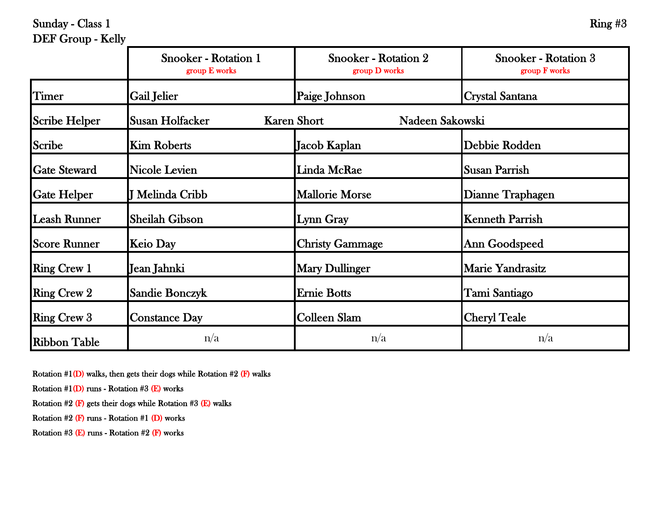Sunday - Class 1 Ring  $#3$ 

## DEF Group - Kelly

|                      | <b>Snooker - Rotation 1</b><br>group E works | <b>Snooker - Rotation 2</b><br>group D works | <b>Snooker - Rotation 3</b><br>group F works |
|----------------------|----------------------------------------------|----------------------------------------------|----------------------------------------------|
| Timer                | <b>Gail Jelier</b>                           | Paige Johnson                                | Crystal Santana                              |
| <b>Scribe Helper</b> | <b>Susan Holfacker</b>                       | <b>Karen Short</b><br>Nadeen Sakowski        |                                              |
| Scribe               | <b>Kim Roberts</b>                           | Jacob Kaplan                                 | Debbie Rodden                                |
| <b>Gate Steward</b>  | <b>Nicole Levien</b>                         | Linda McRae                                  | Susan Parrish                                |
| <b>Gate Helper</b>   | J Melinda Cribb                              | <b>Mallorie Morse</b>                        | Dianne Traphagen                             |
| <b>Leash Runner</b>  | <b>Sheilah Gibson</b>                        | Lynn Gray                                    | <b>Kenneth Parrish</b>                       |
| <b>Score Runner</b>  | <b>Keio Day</b>                              | <b>Christy Gammage</b>                       | Ann Goodspeed                                |
| <b>Ring Crew 1</b>   | Jean Jahnki                                  | <b>Mary Dullinger</b>                        | Marie Yandrasitz                             |
| <b>Ring Crew 2</b>   | Sandie Bonczyk                               | <b>Ernie Botts</b>                           | Tami Santiago                                |
| <b>Ring Crew 3</b>   | <b>Constance Day</b>                         | Colleen Slam                                 | <b>Cheryl Teale</b>                          |
| <b>Ribbon Table</b>  | n/a                                          | n/a                                          | n/a                                          |

Rotation  $#1(D)$  walks, then gets their dogs while Rotation  $#2$  (F) walks

Rotation  $#1(D)$  runs - Rotation  $#3$  (E) works

Rotation  $#2$  (F) gets their dogs while Rotation  $#3$  (E) walks

Rotation  $#2$  (F) runs - Rotation  $#1$  (D) works

Rotation #3 (E) runs - Rotation #2 (F) works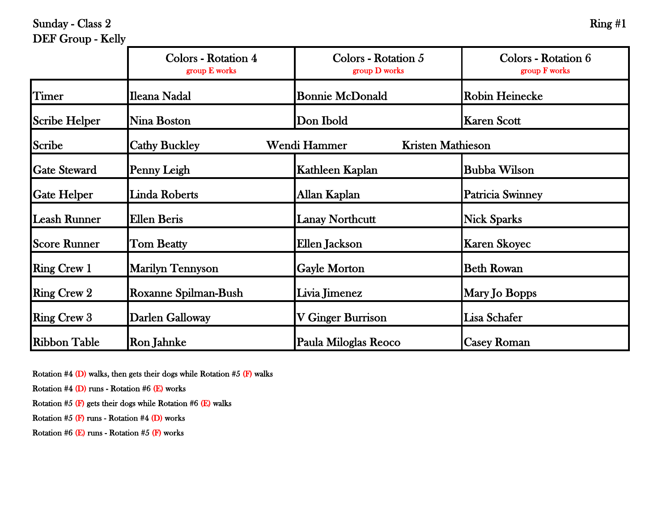Sunday - Class 2 Ring #1

#### DEF Group - Kelly

|                     | <b>Colors - Rotation 4</b><br>group E works | Colors - Rotation 5<br>group D works | Colors - Rotation 6<br>group F works |
|---------------------|---------------------------------------------|--------------------------------------|--------------------------------------|
| Timer               | Ileana Nadal                                | <b>Bonnie McDonald</b>               | <b>Robin Heinecke</b>                |
| Scribe Helper       | Nina Boston                                 | Don Ibold                            | <b>Karen Scott</b>                   |
| Scribe              | <b>Cathy Buckley</b>                        | Wendi Hammer                         | <b>Kristen Mathieson</b>             |
| <b>Gate Steward</b> | Penny Leigh                                 | Kathleen Kaplan                      | <b>Bubba Wilson</b>                  |
| <b>Gate Helper</b>  | Linda Roberts                               | Allan Kaplan                         | Patricia Swinney                     |
| Leash Runner        | Ellen Beris                                 | <b>Lanay Northcutt</b>               | <b>Nick Sparks</b>                   |
| <b>Score Runner</b> | <b>Tom Beatty</b>                           | Ellen Jackson                        | <b>Karen Skoyec</b>                  |
| <b>Ring Crew 1</b>  | <b>Marilyn Tennyson</b>                     | <b>Gayle Morton</b>                  | <b>Beth Rowan</b>                    |
| <b>Ring Crew 2</b>  | Roxanne Spilman-Bush                        | Livia Jimenez                        | Mary Jo Bopps                        |
| <b>Ring Crew 3</b>  | Darlen Galloway                             | V Ginger Burrison                    | Lisa Schafer                         |
| <b>Ribbon Table</b> | <b>Ron Jahnke</b>                           | Paula Miloglas Reoco                 | <b>Casey Roman</b>                   |

Rotation #4 (D) walks, then gets their dogs while Rotation #5 (F) walks

Rotation #4 (D) runs - Rotation #6 (E) works

Rotation  $#5$  (F) gets their dogs while Rotation  $#6$  (E) walks

Rotation  $#5$  (F) runs - Rotation  $#4$  (D) works

Rotation #6 (E) runs - Rotation #5 (F) works